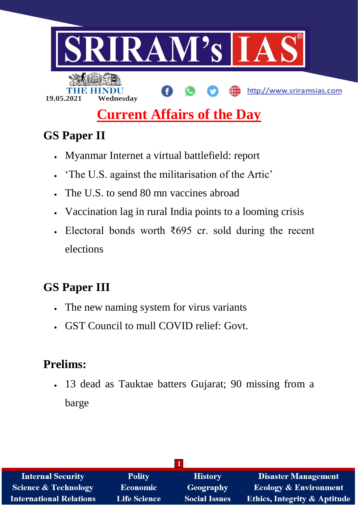

# **Current Affairs of the Day**

# **GS Paper II**

- Myanmar Internet a virtual battlefield: report
- 'The U.S. against the militarisation of the Artic'
- The U.S. to send 80 mn vaccines abroad
- Vaccination lag in rural India points to a looming crisis
- Electoral bonds worth  $\overline{\xi}$ 695 cr. sold during the recent elections

# **GS Paper III**

- The new naming system for virus variants
- GST Council to mull COVID relief: Govt.

# **Prelims:**

 13 dead as Tauktae batters Gujarat; 90 missing from a barge

| <b>Internal Security</b>       | <b>Polity</b>       | <b>History</b>       | <b>Disaster Management</b>              |
|--------------------------------|---------------------|----------------------|-----------------------------------------|
| Science & Technology           | <b>Economic</b>     | Geography            | <b>Ecology &amp; Environment</b>        |
| <b>International Relations</b> | <b>Life Science</b> | <b>Social Issues</b> | <b>Ethics, Integrity &amp; Aptitude</b> |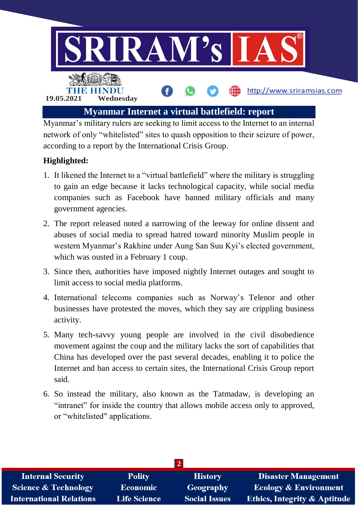

Myanmar's military rulers are seeking to limit access to the Internet to an internal network of only "whitelisted" sites to quash opposition to their seizure of power, according to a report by the International Crisis Group.

# **Highlighted:**

- 1. It likened the Internet to a "virtual battlefield" where the military is struggling to gain an edge because it lacks technological capacity, while social media companies such as Facebook have banned military officials and many government agencies.
- 2. The report released noted a narrowing of the leeway for online dissent and abuses of social media to spread hatred toward minority Muslim people in western Myanmar's Rakhine under Aung San Suu Kyi's elected government, which was ousted in a February 1 coup.
- 3. Since then, authorities have imposed nightly Internet outages and sought to limit access to social media platforms.
- 4. International telecoms companies such as Norway's Telenor and other businesses have protested the moves, which they say are crippling business activity.
- 5. Many tech-savvy young people are involved in the civil disobedience movement against the coup and the military lacks the sort of capabilities that China has developed over the past several decades, enabling it to police the Internet and ban access to certain sites, the International Crisis Group report said.
- 6. So instead the military, also known as the Tatmadaw, is developing an "intranet" for inside the country that allows mobile access only to approved, or "whitelisted" applications.

| <b>Internal Security</b>        | <b>Polity</b>       | <b>History</b>       | <b>Disaster Management</b>              |  |
|---------------------------------|---------------------|----------------------|-----------------------------------------|--|
| <b>Science &amp; Technology</b> | <b>Economic</b>     | Geography            | <b>Ecology &amp; Environment</b>        |  |
| <b>International Relations</b>  | <b>Life Science</b> | <b>Social Issues</b> | <b>Ethics, Integrity &amp; Aptitude</b> |  |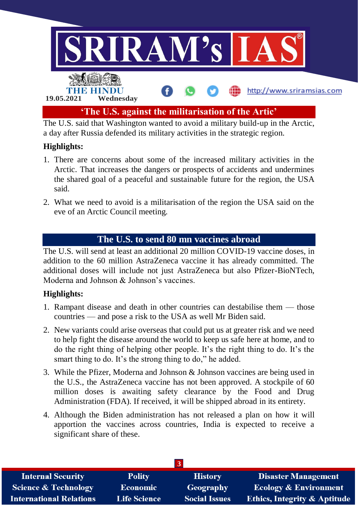

a day after Russia defended its military activities in the strategic region.

### **Highlights:**

- 1. There are concerns about some of the increased military activities in the Arctic. That increases the dangers or prospects of accidents and undermines the shared goal of a peaceful and sustainable future for the region, the USA said.
- 2. What we need to avoid is a militarisation of the region the USA said on the eve of an Arctic Council meeting.

# **The U.S. to send 80 mn vaccines abroad**

The U.S. will send at least an additional 20 million COVID-19 vaccine doses, in addition to the 60 million AstraZeneca vaccine it has already committed. The additional doses will include not just AstraZeneca but also Pfizer-BioNTech, Moderna and Johnson & Johnson's vaccines.

#### **Highlights:**

- 1. Rampant disease and death in other countries can destabilise them those countries — and pose a risk to the USA as well Mr Biden said.
- 2. New variants could arise overseas that could put us at greater risk and we need to help fight the disease around the world to keep us safe here at home, and to do the right thing of helping other people. It's the right thing to do. It's the smart thing to do. It's the strong thing to do," he added.
- 3. While the Pfizer, Moderna and Johnson & Johnson vaccines are being used in the U.S., the AstraZeneca vaccine has not been approved. A stockpile of 60 million doses is awaiting safety clearance by the Food and Drug Administration (FDA). If received, it will be shipped abroad in its entirety.
- 4. Although the Biden administration has not released a plan on how it will apportion the vaccines across countries, India is expected to receive a significant share of these.

| <b>Internal Security</b>        | <b>Polity</b>       | <b>History</b>       | <b>Disaster Management</b>              |  |
|---------------------------------|---------------------|----------------------|-----------------------------------------|--|
| <b>Science &amp; Technology</b> | <b>Economic</b>     | Geography            | <b>Ecology &amp; Environment</b>        |  |
| <b>International Relations</b>  | <b>Life Science</b> | <b>Social Issues</b> | <b>Ethics, Integrity &amp; Aptitude</b> |  |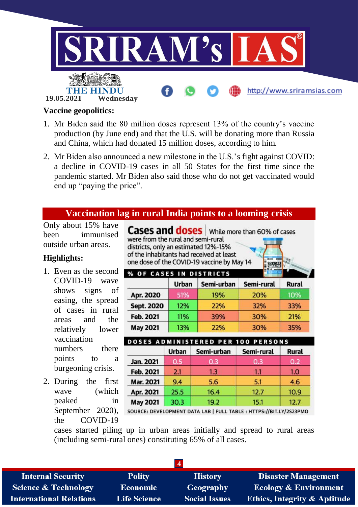

#### **Vaccine geopolitics:**

- 1. Mr Biden said the 80 million doses represent 13% of the country's vaccine production (by June end) and that the U.S. will be donating more than Russia and China, which had donated 15 million doses, according to him.
- 2. Mr Biden also announced a new milestone in the U.S.'s fight against COVID: a decline in COVID-19 cases in all 50 States for the first time since the pandemic started. Mr Biden also said those who do not get vaccinated would end up "paying the price".

#### **Vaccination lag in rural India points to a looming crisis**

Only about 15% have been immunised outside urban areas.

#### **Highlights:**

- 1. Even as the second COVID-19 wave shows signs of easing, the spread of cases in rural areas and the relatively lower vaccination numbers there points to a burgeoning crisis.
- 2. During the first wave (which peaked in the COVID-19

**Cases and doses** | While more than 60% of cases were from the rural and semi-rural districts, only an estimated 12%-15% of the inhabitants had received at least one dose of the COVID-19 vaccine by May 14

| <b>% OF CASES IN DISTRICTS</b> |       |            |            |              |
|--------------------------------|-------|------------|------------|--------------|
|                                | Urban | Semi-urban | Semi-rural | <b>Rural</b> |
| Apr. 2020                      | 51%   | 19%        | 20%        | 10%          |
| Sept. 2020                     | 12%   | 22%        | 32%        | 33%          |
| Feb. 2021                      | 11%   | 39%        | 30%        | 21%          |
| <b>May 2021</b>                | 13%   | 22%        | 30%        | 35%          |

|                 | <b>Urban</b> | Semi-urban | Semi-rural | Rural |
|-----------------|--------------|------------|------------|-------|
| Jan. 2021       | 0.5          | 0.3        | 0.3        | 0.2   |
| Feb. 2021       | 2.1          | 1.3        | 1.1        | 1.0   |
| Mar. 2021       | 9.4          | 5.6        | 5.1        | 4.6   |
| Apr. 2021       | 25.5         | 16.4       | 12.7       | 10.9  |
| <b>May 2021</b> | 30.3         | 19.2       | 15.1       | 12.7  |

September 2020), source: DEVELOPMENT DATA LAB | FULL TABLE : HTTPS://BIT.LY/2S23PMO

cases started piling up in urban areas initially and spread to rural areas (including semi-rural ones) constituting 65% of all cases.

| $\boldsymbol{\Delta}$           |                     |                      |                                         |  |
|---------------------------------|---------------------|----------------------|-----------------------------------------|--|
| <b>Internal Security</b>        | <b>Polity</b>       | <b>History</b>       | <b>Disaster Management</b>              |  |
| <b>Science &amp; Technology</b> | <b>Economic</b>     | Geography            | <b>Ecology &amp; Environment</b>        |  |
| <b>International Relations</b>  | <b>Life Science</b> | <b>Social Issues</b> | <b>Ethics, Integrity &amp; Aptitude</b> |  |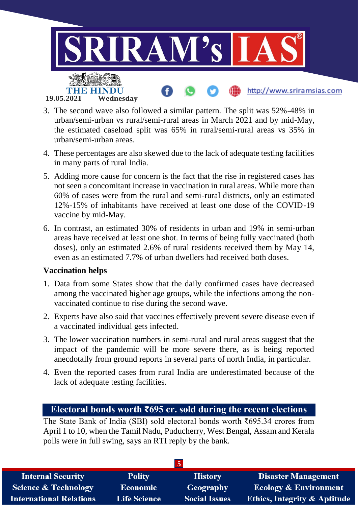

- 3. The second wave also followed a similar pattern. The split was 52%-48% in urban/semi-urban vs rural/semi-rural areas in March 2021 and by mid-May, the estimated caseload split was 65% in rural/semi-rural areas vs 35% in urban/semi-urban areas.
- 4. These percentages are also skewed due to the lack of adequate testing facilities in many parts of rural India.
- 5. Adding more cause for concern is the fact that the rise in registered cases has not seen a concomitant increase in vaccination in rural areas. While more than 60% of cases were from the rural and semi-rural districts, only an estimated 12%-15% of inhabitants have received at least one dose of the COVID-19 vaccine by mid-May.
- 6. In contrast, an estimated 30% of residents in urban and 19% in semi-urban areas have received at least one shot. In terms of being fully vaccinated (both doses), only an estimated 2.6% of rural residents received them by May 14, even as an estimated 7.7% of urban dwellers had received both doses.

#### **Vaccination helps**

- 1. Data from some States show that the daily confirmed cases have decreased among the vaccinated higher age groups, while the infections among the nonvaccinated continue to rise during the second wave.
- 2. Experts have also said that vaccines effectively prevent severe disease even if a vaccinated individual gets infected.
- 3. The lower vaccination numbers in semi-rural and rural areas suggest that the impact of the pandemic will be more severe there, as is being reported anecdotally from ground reports in several parts of north India, in particular.
- 4. Even the reported cases from rural India are underestimated because of the lack of adequate testing facilities.

### **Electoral bonds worth ₹695 cr. sold during the recent elections**

The State Bank of India (SBI) sold electoral bonds worth ₹695.34 crores from April 1 to 10, when the Tamil Nadu, Puducherry, West Bengal, Assam and Kerala polls were in full swing, says an RTI reply by the bank.

| <b>Internal Security</b>        | <b>Polity</b>       | <b>History</b>       | <b>Disaster Management</b>              |  |
|---------------------------------|---------------------|----------------------|-----------------------------------------|--|
| <b>Science &amp; Technology</b> | <b>Economic</b>     | Geography            | <b>Ecology &amp; Environment</b>        |  |
| <b>International Relations</b>  | <b>Life Science</b> | <b>Social Issues</b> | <b>Ethics, Integrity &amp; Aptitude</b> |  |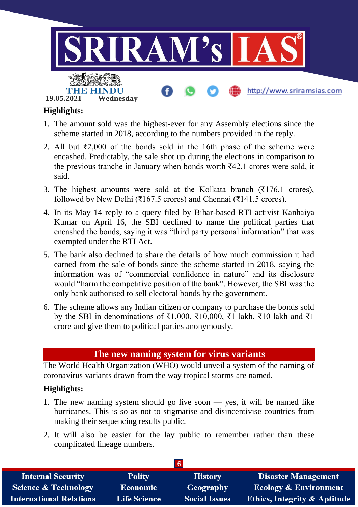

# **Highlights:**

- 1. The amount sold was the highest-ever for any Assembly elections since the scheme started in 2018, according to the numbers provided in the reply.
- 2. All but ₹2,000 of the bonds sold in the 16th phase of the scheme were encashed. Predictably, the sale shot up during the elections in comparison to the previous tranche in January when bonds worth ₹42.1 crores were sold, it said.
- 3. The highest amounts were sold at the Kolkata branch  $(3176.1 \text{ cores})$ , followed by New Delhi (₹167.5 crores) and Chennai (₹141.5 crores).
- 4. In its May 14 reply to a query filed by Bihar-based RTI activist Kanhaiya Kumar on April 16, the SBI declined to name the political parties that encashed the bonds, saying it was "third party personal information" that was exempted under the RTI Act.
- 5. The bank also declined to share the details of how much commission it had earned from the sale of bonds since the scheme started in 2018, saying the information was of "commercial confidence in nature" and its disclosure would "harm the competitive position of the bank". However, the SBI was the only bank authorised to sell electoral bonds by the government.
- 6. The scheme allows any Indian citizen or company to purchase the bonds sold by the SBI in denominations of ₹1,000, ₹10,000, ₹1 lakh, ₹10 lakh and ₹1 crore and give them to political parties anonymously.

# **The new naming system for virus variants**

The World Health Organization (WHO) would unveil a system of the naming of coronavirus variants drawn from the way tropical storms are named.

### **Highlights:**

- 1. The new naming system should go live soon yes, it will be named like hurricanes. This is so as not to stigmatise and disincentivise countries from making their sequencing results public.
- 2. It will also be easier for the lay public to remember rather than these complicated lineage numbers.

| <b>Internal Security</b>        | <b>Polity</b>       | <b>History</b>       | <b>Disaster Management</b>              |  |
|---------------------------------|---------------------|----------------------|-----------------------------------------|--|
| <b>Science &amp; Technology</b> | <b>Economic</b>     | Geography            | <b>Ecology &amp; Environment</b>        |  |
| <b>International Relations</b>  | <b>Life Science</b> | <b>Social Issues</b> | <b>Ethics, Integrity &amp; Aptitude</b> |  |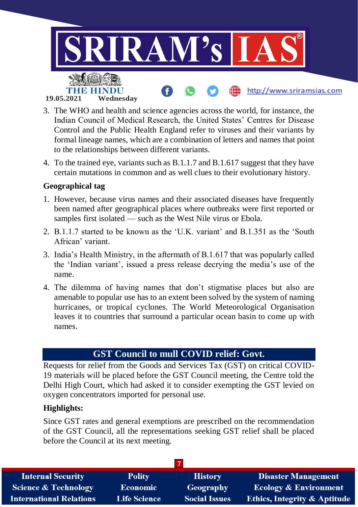

- 3. The WHO and health and science agencies across the world, for instance, the Indian Council of Medical Research, the United States' Centres for Disease Control and the Public Health England refer to viruses and their variants by formal lineage names, which are a combination of letters and names that point to the relationships between different variants.
- 4. To the trained eye, variants such as B.1.1.7 and B.1.617 suggest that they have certain mutations in common and as well clues to their evolutionary history.

#### **Geographical tag**

- 1. However, because virus names and their associated diseases have frequently been named after geographical places where outbreaks were first reported or samples first isolated — such as the West Nile virus or Ebola.
- 2. B.1.1.7 started to be known as the 'U.K. variant' and B.1.351 as the 'South African' variant.
- 3. India's Health Ministry, in the aftermath of B.1.617 that was popularly called the 'Indian variant', issued a press release decrying the media's use of the name.
- 4. The dilemma of having names that don't stigmatise places but also are amenable to popular use has to an extent been solved by the system of naming hurricanes, or tropical cyclones. The World Meteorological Organisation leaves it to countries that surround a particular ocean basin to come up with names.

# **GST Council to mull COVID relief: Govt.**

Requests for relief from the Goods and Services Tax (GST) on critical COVID-19 materials will be placed before the GST Council meeting, the Centre told the Delhi High Court, which had asked it to consider exempting the GST levied on oxygen concentrators imported for personal use.

#### **Highlights:**

Since GST rates and general exemptions are prescribed on the recommendation of the GST Council, all the representations seeking GST relief shall be placed before the Council at its next meeting.

| <b>Internal Security</b>       | <b>Polity</b>       | <b>History</b>       | <b>Disaster Management</b>              |
|--------------------------------|---------------------|----------------------|-----------------------------------------|
| Science & Technology           | <b>Economic</b>     | Geography            | <b>Ecology &amp; Environment</b>        |
| <b>International Relations</b> | <b>Life Science</b> | <b>Social Issues</b> | <b>Ethics, Integrity &amp; Aptitude</b> |